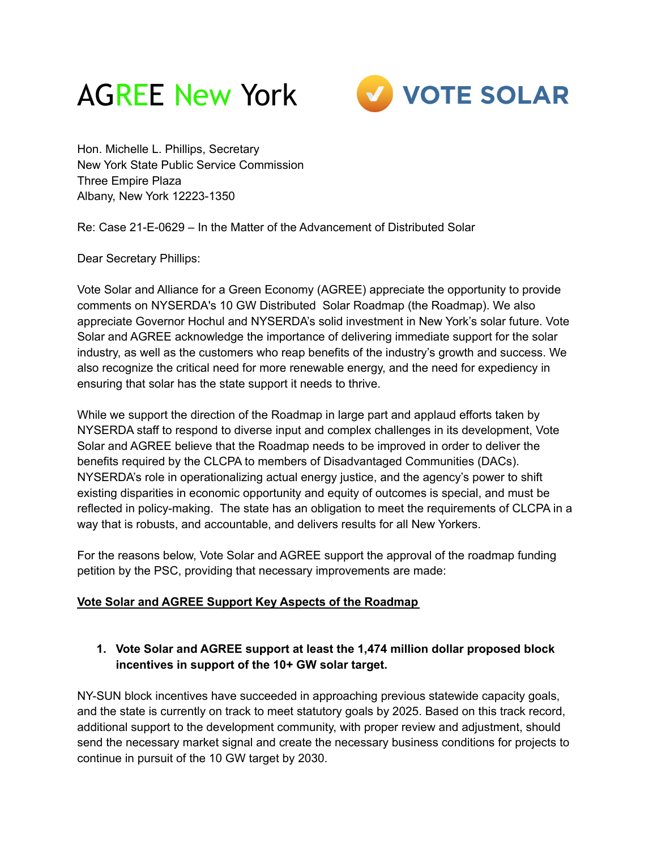



Hon. Michelle L. Phillips, Secretary New York State Public Service Commission Three Empire Plaza Albany, New York 12223-1350

Re: Case 21-E-0629 – In the Matter of the Advancement of Distributed Solar

Dear Secretary Phillips:

Vote Solar and Alliance for a Green Economy (AGREE) appreciate the opportunity to provide comments on NYSERDA's 10 GW Distributed Solar Roadmap (the Roadmap). We also appreciate Governor Hochul and NYSERDA's solid investment in New York's solar future. Vote Solar and AGREE acknowledge the importance of delivering immediate support for the solar industry, as well as the customers who reap benefits of the industry's growth and success. We also recognize the critical need for more renewable energy, and the need for expediency in ensuring that solar has the state support it needs to thrive.

While we support the direction of the Roadmap in large part and applaud efforts taken by NYSERDA staff to respond to diverse input and complex challenges in its development, Vote Solar and AGREE believe that the Roadmap needs to be improved in order to deliver the benefits required by the CLCPA to members of Disadvantaged Communities (DACs). NYSERDA's role in operationalizing actual energy justice, and the agency's power to shift existing disparities in economic opportunity and equity of outcomes is special, and must be reflected in policy-making. The state has an obligation to meet the requirements of CLCPA in a way that is robusts, and accountable, and delivers results for all New Yorkers.

For the reasons below, Vote Solar and AGREE support the approval of the roadmap funding petition by the PSC, providing that necessary improvements are made:

#### **Vote Solar and AGREE Support Key Aspects of the Roadmap**

## **1. Vote Solar and AGREE support at least the 1,474 million dollar proposed block incentives in support of the 10+ GW solar target.**

NY-SUN block incentives have succeeded in approaching previous statewide capacity goals, and the state is currently on track to meet statutory goals by 2025. Based on this track record, additional support to the development community, with proper review and adjustment, should send the necessary market signal and create the necessary business conditions for projects to continue in pursuit of the 10 GW target by 2030.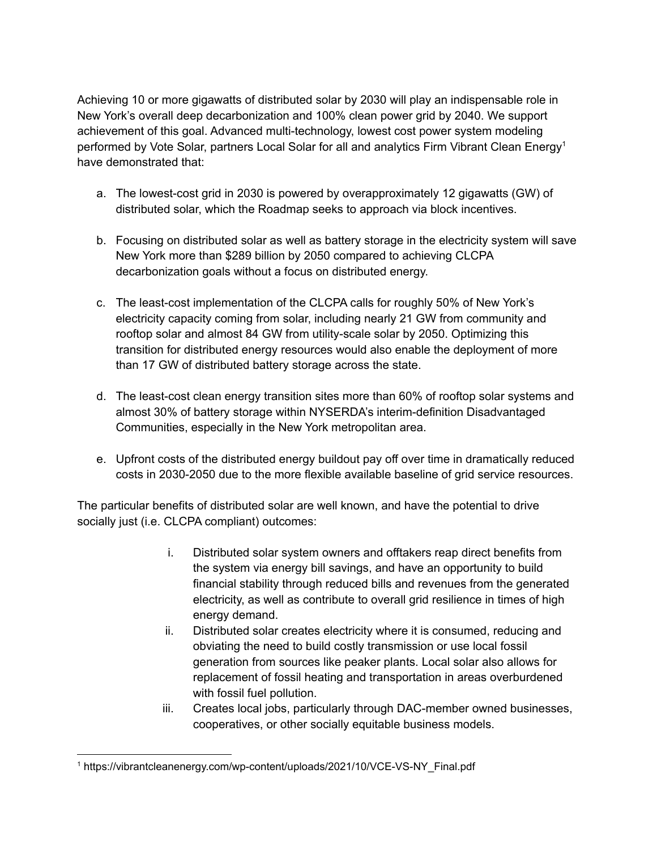Achieving 10 or more gigawatts of distributed solar by 2030 will play an indispensable role in New York's overall deep decarbonization and 100% clean power grid by 2040. We support achievement of this goal. Advanced multi-technology, lowest cost power system modeling performed by Vote Solar, partners Local Solar for all and analytics Firm Vibrant Clean Energy<sup>1</sup> have demonstrated that:

- a. The lowest-cost grid in 2030 is powered by overapproximately 12 gigawatts (GW) of distributed solar, which the Roadmap seeks to approach via block incentives.
- b. Focusing on distributed solar as well as battery storage in the electricity system will save New York more than \$289 billion by 2050 compared to achieving CLCPA decarbonization goals without a focus on distributed energy.
- c. The least-cost implementation of the CLCPA calls for roughly 50% of New York's electricity capacity coming from solar, including nearly 21 GW from community and rooftop solar and almost 84 GW from utility-scale solar by 2050. Optimizing this transition for distributed energy resources would also enable the deployment of more than 17 GW of distributed battery storage across the state.
- d. The least-cost clean energy transition sites more than 60% of rooftop solar systems and almost 30% of battery storage within NYSERDA's interim-definition Disadvantaged Communities, especially in the New York metropolitan area.
- e. Upfront costs of the distributed energy buildout pay off over time in dramatically reduced costs in 2030-2050 due to the more flexible available baseline of grid service resources.

The particular benefits of distributed solar are well known, and have the potential to drive socially just (i.e. CLCPA compliant) outcomes:

- i. Distributed solar system owners and offtakers reap direct benefits from the system via energy bill savings, and have an opportunity to build financial stability through reduced bills and revenues from the generated electricity, as well as contribute to overall grid resilience in times of high energy demand.
- ii. Distributed solar creates electricity where it is consumed, reducing and obviating the need to build costly transmission or use local fossil generation from sources like peaker plants. Local solar also allows for replacement of fossil heating and transportation in areas overburdened with fossil fuel pollution.
- iii. Creates local jobs, particularly through DAC-member owned businesses, cooperatives, or other socially equitable business models.

<sup>&</sup>lt;sup>1</sup> https://vibrantcleanenergy.com/wp-content/uploads/2021/10/VCE-VS-NY\_Final.pdf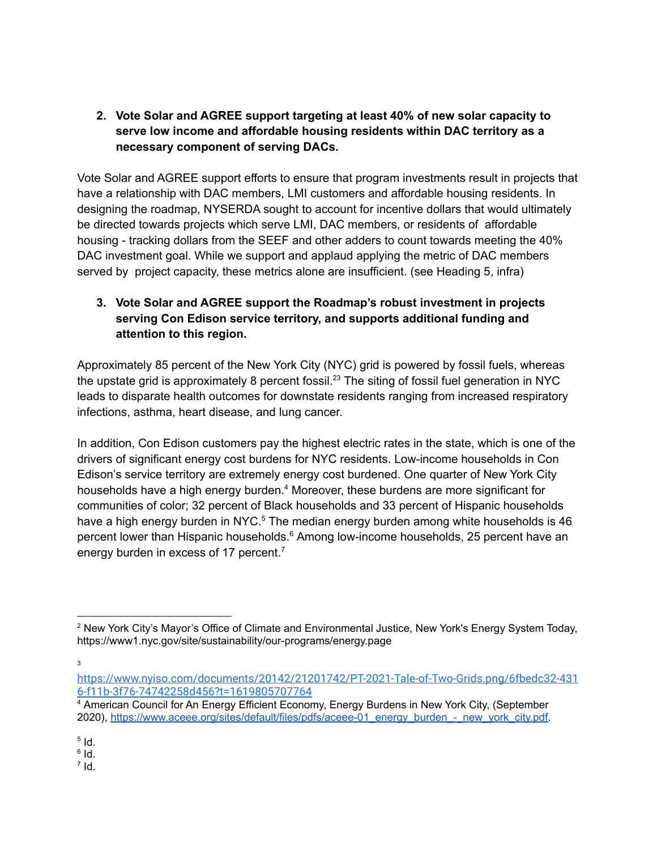**2. Vote Solar and AGREE support targeting at least 40% of new solar capacity to serve low income and affordable housing residents within DAC territory as a necessary component of serving DACs.**

Vote Solar and AGREE support efforts to ensure that program investments result in projects that have a relationship with DAC members, LMI customers and affordable housing residents. In designing the roadmap, NYSERDA sought to account for incentive dollars that would ultimately be directed towards projects which serve LMI, DAC members, or residents of affordable housing - tracking dollars from the SEEF and other adders to count towards meeting the 40% DAC investment goal. While we support and applaud applying the metric of DAC members served by project capacity, these metrics alone are insufficient. (see Heading 5, infra)

## **3. Vote Solar and AGREE support the Roadmap's robust investment in projects serving Con Edison service territory, and supports additional funding and attention to this region.**

Approximately 85 percent of the New York City (NYC) grid is powered by fossil fuels, whereas the upstate grid is approximately 8 percent fossil.<sup>23</sup> The siting of fossil fuel generation in NYC leads to disparate health outcomes for downstate residents ranging from increased respiratory infections, asthma, heart disease, and lung cancer.

In addition, Con Edison customers pay the highest electric rates in the state, which is one of the drivers of significant energy cost burdens for NYC residents. Low-income households in Con Edison's service territory are extremely energy cost burdened. One quarter of New York City households have a high energy burden.<sup>4</sup> Moreover, these burdens are more significant for communities of color; 32 percent of Black households and 33 percent of Hispanic households have a high energy burden in NYC.<sup>5</sup> The median energy burden among white households is 46 percent lower than Hispanic households. <sup>6</sup> Among low-income households, 25 percent have an energy burden in excess of 17 percent.<sup>7</sup>

3

 $^7$  Id.

<sup>2</sup> New York City's Mayor's Office of Climate and Environmental Justice, New York's Energy System Today, https://www1.nyc.gov/site/sustainability/our-programs/energy.page

[https://www.nyiso.com/documents/20142/21201742/PT-2021-Tale-of-Two-Grids.png/6fbedc32-431](https://www.nyiso.com/documents/20142/21201742/PT-2021-Tale-of-Two-Grids.png/6fbedc32-4316-f11b-3f76-74742258d456?t=1619805707764) [6-f11b-3f76-74742258d456?t=1619805707764](https://www.nyiso.com/documents/20142/21201742/PT-2021-Tale-of-Two-Grids.png/6fbedc32-4316-f11b-3f76-74742258d456?t=1619805707764)

<sup>4</sup> American Council for An Energy Efficient Economy, Energy Burdens in New York City, (September 2020), [https://www.aceee.org/sites/default/files/pdfs/aceee-01\\_energy\\_burden\\_-\\_new\\_york\\_city.pdf.](https://www.aceee.org/sites/default/files/pdfs/aceee-01_energy_burden_-_new_york_city.pdf)

 $5$   $\mathsf{Id}$ .

 $^6$  Id.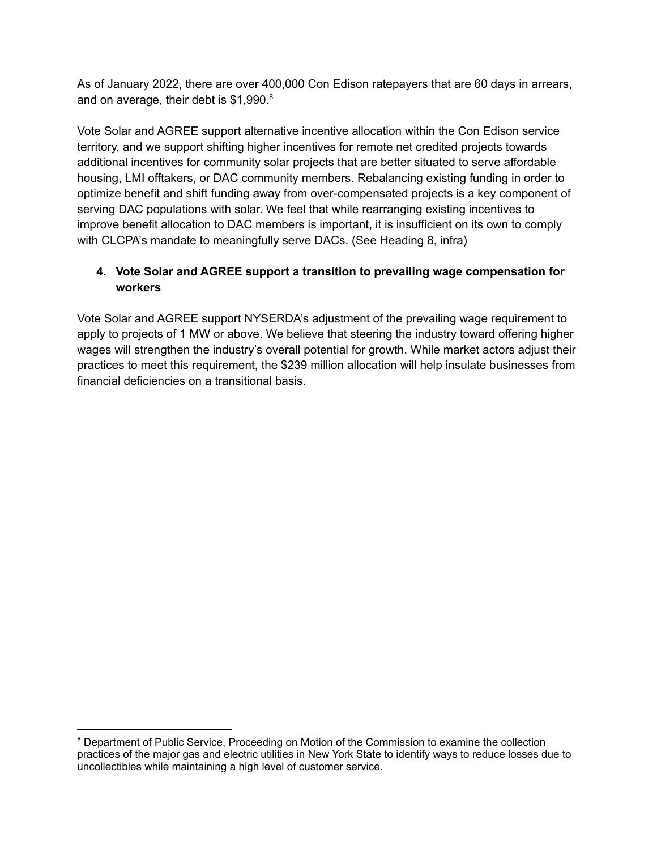As of January 2022, there are over 400,000 Con Edison ratepayers that are 60 days in arrears, and on average, their debt is \$1,990.<sup>8</sup>

Vote Solar and AGREE support alternative incentive allocation within the Con Edison service territory, and we support shifting higher incentives for remote net credited projects towards additional incentives for community solar projects that are better situated to serve affordable housing, LMI offtakers, or DAC community members. Rebalancing existing funding in order to optimize benefit and shift funding away from over-compensated projects is a key component of serving DAC populations with solar. We feel that while rearranging existing incentives to improve benefit allocation to DAC members is important, it is insufficient on its own to comply with CLCPA's mandate to meaningfully serve DACs. (See Heading 8, infra)

# **4. Vote Solar and AGREE support a transition to prevailing wage compensation for workers**

Vote Solar and AGREE support NYSERDA's adjustment of the prevailing wage requirement to apply to projects of 1 MW or above. We believe that steering the industry toward offering higher wages will strengthen the industry's overall potential for growth. While market actors adjust their practices to meet this requirement, the \$239 million allocation will help insulate businesses from financial deficiencies on a transitional basis.

<sup>&</sup>lt;sup>8</sup> Department of Public Service, Proceeding on Motion of the Commission to examine the collection practices of the major gas and electric utilities in New York State to identify ways to reduce losses due to uncollectibles while maintaining a high level of customer service.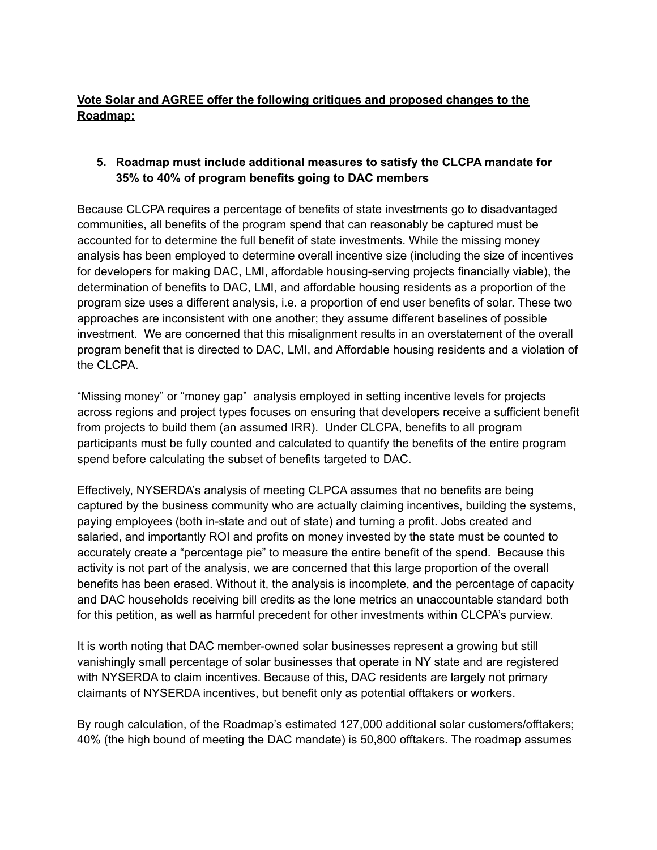# **Vote Solar and AGREE offer the following critiques and proposed changes to the Roadmap:**

### **5. Roadmap must include additional measures to satisfy the CLCPA mandate for 35% to 40% of program benefits going to DAC members**

Because CLCPA requires a percentage of benefits of state investments go to disadvantaged communities, all benefits of the program spend that can reasonably be captured must be accounted for to determine the full benefit of state investments. While the missing money analysis has been employed to determine overall incentive size (including the size of incentives for developers for making DAC, LMI, affordable housing-serving projects financially viable), the determination of benefits to DAC, LMI, and affordable housing residents as a proportion of the program size uses a different analysis, i.e. a proportion of end user benefits of solar. These two approaches are inconsistent with one another; they assume different baselines of possible investment. We are concerned that this misalignment results in an overstatement of the overall program benefit that is directed to DAC, LMI, and Affordable housing residents and a violation of the CLCPA.

"Missing money" or "money gap" analysis employed in setting incentive levels for projects across regions and project types focuses on ensuring that developers receive a sufficient benefit from projects to build them (an assumed IRR). Under CLCPA, benefits to all program participants must be fully counted and calculated to quantify the benefits of the entire program spend before calculating the subset of benefits targeted to DAC.

Effectively, NYSERDA's analysis of meeting CLPCA assumes that no benefits are being captured by the business community who are actually claiming incentives, building the systems, paying employees (both in-state and out of state) and turning a profit. Jobs created and salaried, and importantly ROI and profits on money invested by the state must be counted to accurately create a "percentage pie" to measure the entire benefit of the spend. Because this activity is not part of the analysis, we are concerned that this large proportion of the overall benefits has been erased. Without it, the analysis is incomplete, and the percentage of capacity and DAC households receiving bill credits as the lone metrics an unaccountable standard both for this petition, as well as harmful precedent for other investments within CLCPA's purview.

It is worth noting that DAC member-owned solar businesses represent a growing but still vanishingly small percentage of solar businesses that operate in NY state and are registered with NYSERDA to claim incentives. Because of this, DAC residents are largely not primary claimants of NYSERDA incentives, but benefit only as potential offtakers or workers.

By rough calculation, of the Roadmap's estimated 127,000 additional solar customers/offtakers; 40% (the high bound of meeting the DAC mandate) is 50,800 offtakers. The roadmap assumes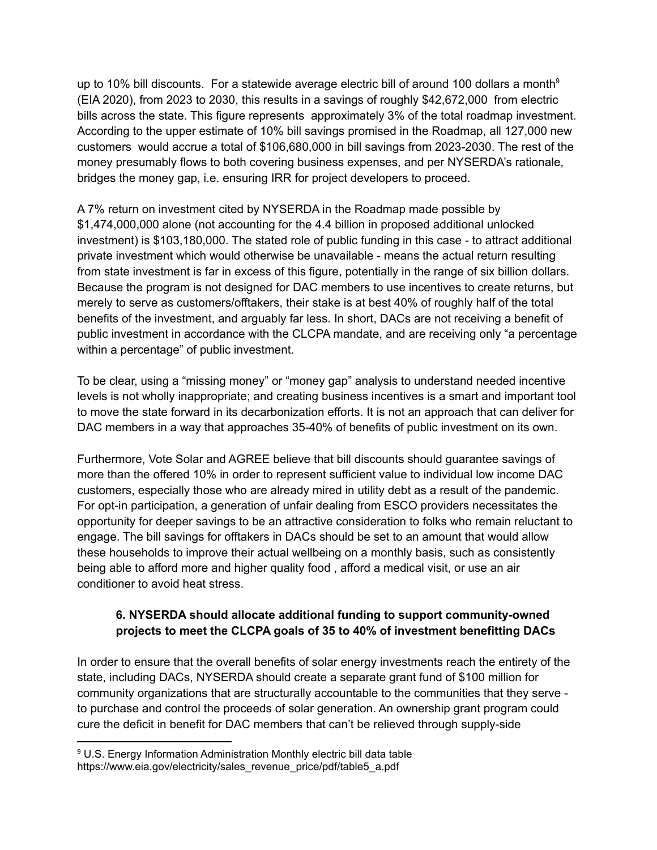up to 10% bill discounts. For a statewide average electric bill of around 100 dollars a month<sup>9</sup> (EIA 2020), from 2023 to 2030, this results in a savings of roughly \$42,672,000 from electric bills across the state. This figure represents approximately 3% of the total roadmap investment. According to the upper estimate of 10% bill savings promised in the Roadmap, all 127,000 new customers would accrue a total of \$106,680,000 in bill savings from 2023-2030. The rest of the money presumably flows to both covering business expenses, and per NYSERDA's rationale, bridges the money gap, i.e. ensuring IRR for project developers to proceed.

A 7% return on investment cited by NYSERDA in the Roadmap made possible by \$1,474,000,000 alone (not accounting for the 4.4 billion in proposed additional unlocked investment) is \$103,180,000. The stated role of public funding in this case - to attract additional private investment which would otherwise be unavailable - means the actual return resulting from state investment is far in excess of this figure, potentially in the range of six billion dollars. Because the program is not designed for DAC members to use incentives to create returns, but merely to serve as customers/offtakers, their stake is at best 40% of roughly half of the total benefits of the investment, and arguably far less. In short, DACs are not receiving a benefit of public investment in accordance with the CLCPA mandate, and are receiving only "a percentage within a percentage" of public investment.

To be clear, using a "missing money" or "money gap" analysis to understand needed incentive levels is not wholly inappropriate; and creating business incentives is a smart and important tool to move the state forward in its decarbonization efforts. It is not an approach that can deliver for DAC members in a way that approaches 35-40% of benefits of public investment on its own.

Furthermore, Vote Solar and AGREE believe that bill discounts should guarantee savings of more than the offered 10% in order to represent sufficient value to individual low income DAC customers, especially those who are already mired in utility debt as a result of the pandemic. For opt-in participation, a generation of unfair dealing from ESCO providers necessitates the opportunity for deeper savings to be an attractive consideration to folks who remain reluctant to engage. The bill savings for offtakers in DACs should be set to an amount that would allow these households to improve their actual wellbeing on a monthly basis, such as consistently being able to afford more and higher quality food , afford a medical visit, or use an air conditioner to avoid heat stress.

## **6. NYSERDA should allocate additional funding to support community-owned projects to meet the CLCPA goals of 35 to 40% of investment benefitting DACs**

In order to ensure that the overall benefits of solar energy investments reach the entirety of the state, including DACs, NYSERDA should create a separate grant fund of \$100 million for community organizations that are structurally accountable to the communities that they serve to purchase and control the proceeds of solar generation. An ownership grant program could cure the deficit in benefit for DAC members that can't be relieved through supply-side

<sup>&</sup>lt;sup>9</sup> U.S. Energy Information Administration Monthly electric bill data table https://www.eia.gov/electricity/sales\_revenue\_price/pdf/table5\_a.pdf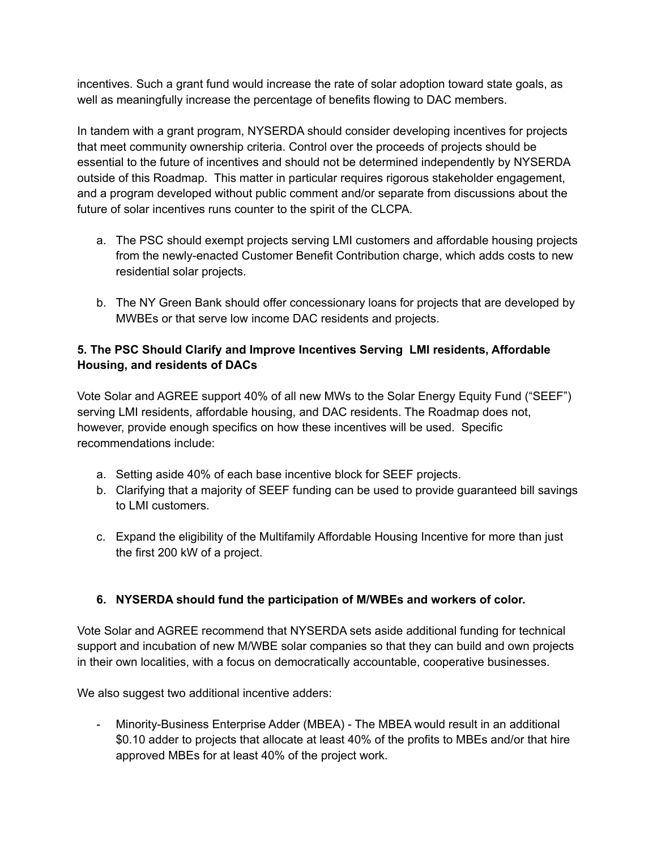incentives. Such a grant fund would increase the rate of solar adoption toward state goals, as well as meaningfully increase the percentage of benefits flowing to DAC members.

In tandem with a grant program, NYSERDA should consider developing incentives for projects that meet community ownership criteria. Control over the proceeds of projects should be essential to the future of incentives and should not be determined independently by NYSERDA outside of this Roadmap. This matter in particular requires rigorous stakeholder engagement, and a program developed without public comment and/or separate from discussions about the future of solar incentives runs counter to the spirit of the CLCPA.

- a. The PSC should exempt projects serving LMI customers and affordable housing projects from the newly-enacted Customer Benefit Contribution charge, which adds costs to new residential solar projects.
- b. The NY Green Bank should offer concessionary loans for projects that are developed by MWBEs or that serve low income DAC residents and projects.

## **5. The PSC Should Clarify and Improve Incentives Serving LMI residents, Affordable Housing, and residents of DACs**

Vote Solar and AGREE support 40% of all new MWs to the Solar Energy Equity Fund ("SEEF") serving LMI residents, affordable housing, and DAC residents. The Roadmap does not, however, provide enough specifics on how these incentives will be used. Specific recommendations include:

- a. Setting aside 40% of each base incentive block for SEEF projects.
- b. Clarifying that a majority of SEEF funding can be used to provide guaranteed bill savings to LMI customers.
- c. Expand the eligibility of the Multifamily Affordable Housing Incentive for more than just the first 200 kW of a project.

## **6. NYSERDA should fund the participation of M/WBEs and workers of color.**

Vote Solar and AGREE recommend that NYSERDA sets aside additional funding for technical support and incubation of new M/WBE solar companies so that they can build and own projects in their own localities, with a focus on democratically accountable, cooperative businesses.

We also suggest two additional incentive adders:

- Minority-Business Enterprise Adder (MBEA) - The MBEA would result in an additional \$0.10 adder to projects that allocate at least 40% of the profits to MBEs and/or that hire approved MBEs for at least 40% of the project work.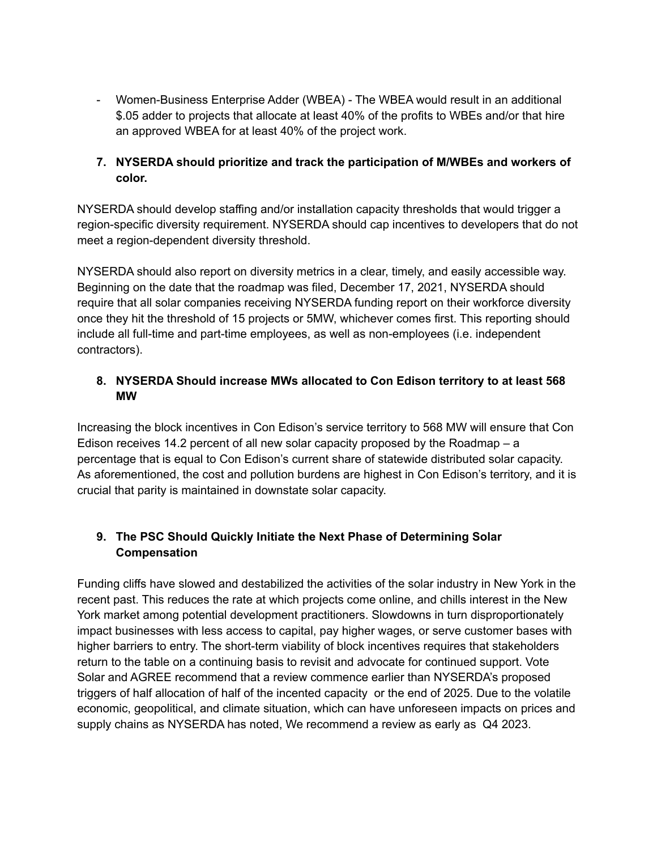- Women-Business Enterprise Adder (WBEA) - The WBEA would result in an additional \$.05 adder to projects that allocate at least 40% of the profits to WBEs and/or that hire an approved WBEA for at least 40% of the project work.

## **7. NYSERDA should prioritize and track the participation of M/WBEs and workers of color.**

NYSERDA should develop staffing and/or installation capacity thresholds that would trigger a region-specific diversity requirement. NYSERDA should cap incentives to developers that do not meet a region-dependent diversity threshold.

NYSERDA should also report on diversity metrics in a clear, timely, and easily accessible way. Beginning on the date that the roadmap was filed, December 17, 2021, NYSERDA should require that all solar companies receiving NYSERDA funding report on their workforce diversity once they hit the threshold of 15 projects or 5MW, whichever comes first. This reporting should include all full-time and part-time employees, as well as non-employees (i.e. independent contractors).

# **8. NYSERDA Should increase MWs allocated to Con Edison territory to at least 568 MW**

Increasing the block incentives in Con Edison's service territory to 568 MW will ensure that Con Edison receives 14.2 percent of all new solar capacity proposed by the Roadmap  $-$  a percentage that is equal to Con Edison's current share of statewide distributed solar capacity. As aforementioned, the cost and pollution burdens are highest in Con Edison's territory, and it is crucial that parity is maintained in downstate solar capacity.

# **9. The PSC Should Quickly Initiate the Next Phase of Determining Solar Compensation**

Funding cliffs have slowed and destabilized the activities of the solar industry in New York in the recent past. This reduces the rate at which projects come online, and chills interest in the New York market among potential development practitioners. Slowdowns in turn disproportionately impact businesses with less access to capital, pay higher wages, or serve customer bases with higher barriers to entry. The short-term viability of block incentives requires that stakeholders return to the table on a continuing basis to revisit and advocate for continued support. Vote Solar and AGREE recommend that a review commence earlier than NYSERDA's proposed triggers of half allocation of half of the incented capacity or the end of 2025. Due to the volatile economic, geopolitical, and climate situation, which can have unforeseen impacts on prices and supply chains as NYSERDA has noted, We recommend a review as early as Q4 2023.